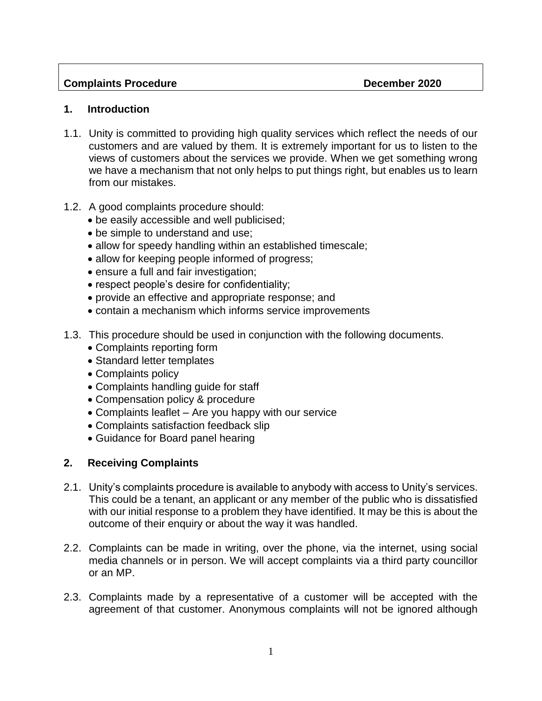### **Complaints Procedure Complaints Procedure Complaints Procedure** Complaints **December 2020**

#### **1. Introduction**

- 1.1. Unity is committed to providing high quality services which reflect the needs of our customers and are valued by them. It is extremely important for us to listen to the views of customers about the services we provide. When we get something wrong we have a mechanism that not only helps to put things right, but enables us to learn from our mistakes.
- 1.2. A good complaints procedure should:
	- be easily accessible and well publicised;
	- be simple to understand and use;
	- allow for speedy handling within an established timescale;
	- allow for keeping people informed of progress;
	- ensure a full and fair investigation;
	- respect people's desire for confidentiality;
	- provide an effective and appropriate response; and
	- contain a mechanism which informs service improvements
- 1.3. This procedure should be used in conjunction with the following documents.
	- Complaints reporting form
	- Standard letter templates
	- Complaints policy
	- Complaints handling guide for staff
	- Compensation policy & procedure
	- Complaints leaflet Are you happy with our service
	- Complaints satisfaction feedback slip
	- Guidance for Board panel hearing

# **2. Receiving Complaints**

- 2.1. Unity's complaints procedure is available to anybody with access to Unity's services. This could be a tenant, an applicant or any member of the public who is dissatisfied with our initial response to a problem they have identified. It may be this is about the outcome of their enquiry or about the way it was handled.
- 2.2. Complaints can be made in writing, over the phone, via the internet, using social media channels or in person. We will accept complaints via a third party councillor or an MP.
- 2.3. Complaints made by a representative of a customer will be accepted with the agreement of that customer. Anonymous complaints will not be ignored although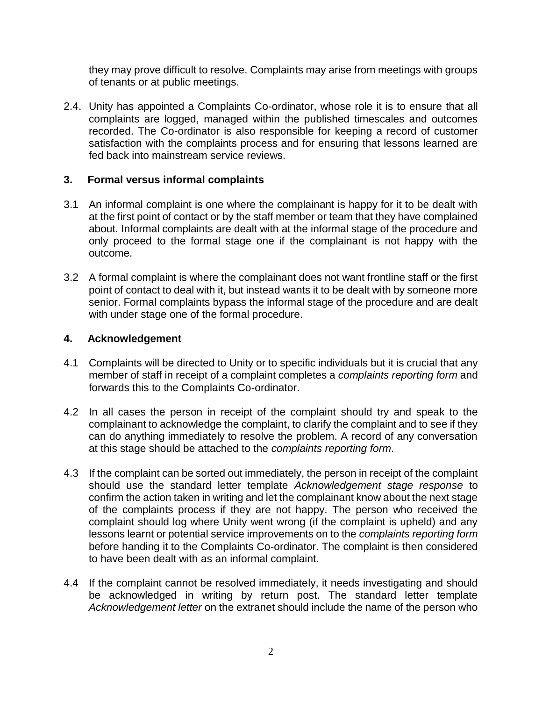they may prove difficult to resolve. Complaints may arise from meetings with groups of tenants or at public meetings.

2.4. Unity has appointed a Complaints Co-ordinator, whose role it is to ensure that all complaints are logged, managed within the published timescales and outcomes recorded. The Co-ordinator is also responsible for keeping a record of customer satisfaction with the complaints process and for ensuring that lessons learned are fed back into mainstream service reviews.

### **3. Formal versus informal complaints**

- 3.1 An informal complaint is one where the complainant is happy for it to be dealt with at the first point of contact or by the staff member or team that they have complained about. Informal complaints are dealt with at the informal stage of the procedure and only proceed to the formal stage one if the complainant is not happy with the outcome.
- 3.2 A formal complaint is where the complainant does not want frontline staff or the first point of contact to deal with it, but instead wants it to be dealt with by someone more senior. Formal complaints bypass the informal stage of the procedure and are dealt with under stage one of the formal procedure.

### **4. Acknowledgement**

- 4.1 Complaints will be directed to Unity or to specific individuals but it is crucial that any member of staff in receipt of a complaint completes a *complaints reporting form* and forwards this to the Complaints Co-ordinator.
- 4.2 In all cases the person in receipt of the complaint should try and speak to the complainant to acknowledge the complaint, to clarify the complaint and to see if they can do anything immediately to resolve the problem. A record of any conversation at this stage should be attached to the *complaints reporting form*.
- 4.3 If the complaint can be sorted out immediately, the person in receipt of the complaint should use the standard letter template *Acknowledgement stage response* to confirm the action taken in writing and let the complainant know about the next stage of the complaints process if they are not happy. The person who received the complaint should log where Unity went wrong (if the complaint is upheld) and any lessons learnt or potential service improvements on to the *complaints reporting form* before handing it to the Complaints Co-ordinator. The complaint is then considered to have been dealt with as an informal complaint.
- 4.4 If the complaint cannot be resolved immediately, it needs investigating and should be acknowledged in writing by return post. The standard letter template *Acknowledgement letter* on the extranet should include the name of the person who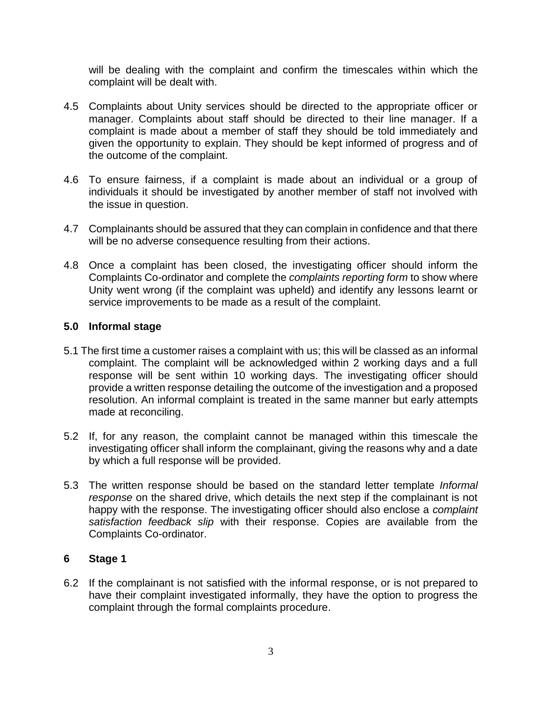will be dealing with the complaint and confirm the timescales within which the complaint will be dealt with.

- 4.5 Complaints about Unity services should be directed to the appropriate officer or manager. Complaints about staff should be directed to their line manager. If a complaint is made about a member of staff they should be told immediately and given the opportunity to explain. They should be kept informed of progress and of the outcome of the complaint.
- 4.6 To ensure fairness, if a complaint is made about an individual or a group of individuals it should be investigated by another member of staff not involved with the issue in question.
- 4.7 Complainants should be assured that they can complain in confidence and that there will be no adverse consequence resulting from their actions.
- 4.8 Once a complaint has been closed, the investigating officer should inform the Complaints Co-ordinator and complete the *complaints reporting form* to show where Unity went wrong (if the complaint was upheld) and identify any lessons learnt or service improvements to be made as a result of the complaint.

# **5.0 Informal stage**

- 5.1 The first time a customer raises a complaint with us; this will be classed as an informal complaint. The complaint will be acknowledged within 2 working days and a full response will be sent within 10 working days. The investigating officer should provide a written response detailing the outcome of the investigation and a proposed resolution. An informal complaint is treated in the same manner but early attempts made at reconciling.
- 5.2 If, for any reason, the complaint cannot be managed within this timescale the investigating officer shall inform the complainant, giving the reasons why and a date by which a full response will be provided.
- 5.3 The written response should be based on the standard letter template *Informal response* on the shared drive, which details the next step if the complainant is not happy with the response. The investigating officer should also enclose a *complaint satisfaction feedback slip* with their response. Copies are available from the Complaints Co-ordinator.

# **6 Stage 1**

6.2 If the complainant is not satisfied with the informal response, or is not prepared to have their complaint investigated informally, they have the option to progress the complaint through the formal complaints procedure.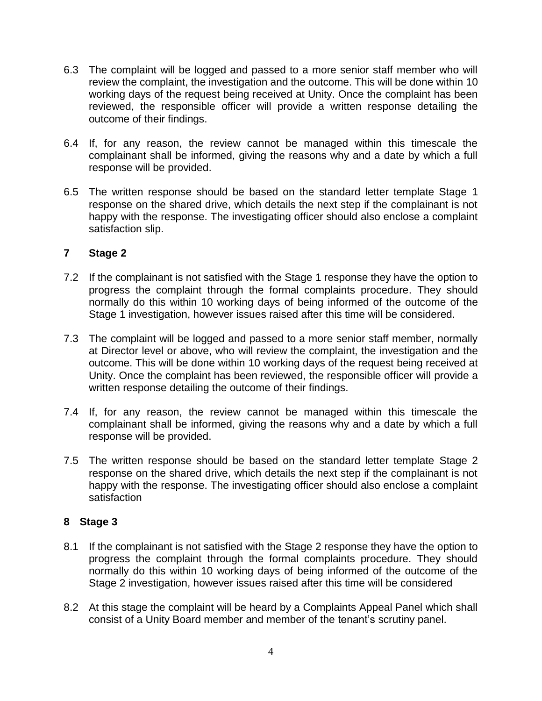- 6.3 The complaint will be logged and passed to a more senior staff member who will review the complaint, the investigation and the outcome. This will be done within 10 working days of the request being received at Unity. Once the complaint has been reviewed, the responsible officer will provide a written response detailing the outcome of their findings.
- 6.4 If, for any reason, the review cannot be managed within this timescale the complainant shall be informed, giving the reasons why and a date by which a full response will be provided.
- 6.5 The written response should be based on the standard letter template Stage 1 response on the shared drive, which details the next step if the complainant is not happy with the response. The investigating officer should also enclose a complaint satisfaction slip.

# **7 Stage 2**

- 7.2 If the complainant is not satisfied with the Stage 1 response they have the option to progress the complaint through the formal complaints procedure. They should normally do this within 10 working days of being informed of the outcome of the Stage 1 investigation, however issues raised after this time will be considered.
- 7.3 The complaint will be logged and passed to a more senior staff member, normally at Director level or above, who will review the complaint, the investigation and the outcome. This will be done within 10 working days of the request being received at Unity. Once the complaint has been reviewed, the responsible officer will provide a written response detailing the outcome of their findings.
- 7.4 If, for any reason, the review cannot be managed within this timescale the complainant shall be informed, giving the reasons why and a date by which a full response will be provided.
- 7.5 The written response should be based on the standard letter template Stage 2 response on the shared drive, which details the next step if the complainant is not happy with the response. The investigating officer should also enclose a complaint satisfaction

### **8 Stage 3**

- 8.1 If the complainant is not satisfied with the Stage 2 response they have the option to progress the complaint through the formal complaints procedure. They should normally do this within 10 working days of being informed of the outcome of the Stage 2 investigation, however issues raised after this time will be considered
- 8.2 At this stage the complaint will be heard by a Complaints Appeal Panel which shall consist of a Unity Board member and member of the tenant's scrutiny panel.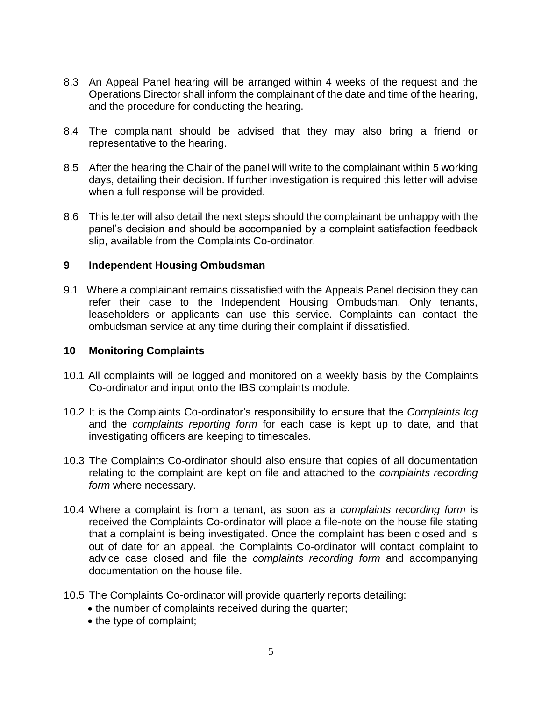- 8.3 An Appeal Panel hearing will be arranged within 4 weeks of the request and the Operations Director shall inform the complainant of the date and time of the hearing, and the procedure for conducting the hearing.
- 8.4 The complainant should be advised that they may also bring a friend or representative to the hearing.
- 8.5 After the hearing the Chair of the panel will write to the complainant within 5 working days, detailing their decision. If further investigation is required this letter will advise when a full response will be provided.
- 8.6 This letter will also detail the next steps should the complainant be unhappy with the panel's decision and should be accompanied by a complaint satisfaction feedback slip, available from the Complaints Co-ordinator.

#### **9 Independent Housing Ombudsman**

9.1 Where a complainant remains dissatisfied with the Appeals Panel decision they can refer their case to the Independent Housing Ombudsman. Only tenants, leaseholders or applicants can use this service. Complaints can contact the ombudsman service at any time during their complaint if dissatisfied.

#### **10 Monitoring Complaints**

- 10.1 All complaints will be logged and monitored on a weekly basis by the Complaints Co-ordinator and input onto the IBS complaints module.
- 10.2 It is the Complaints Co-ordinator's responsibility to ensure that the *Complaints log* and the *complaints reporting form* for each case is kept up to date, and that investigating officers are keeping to timescales.
- 10.3 The Complaints Co-ordinator should also ensure that copies of all documentation relating to the complaint are kept on file and attached to the *complaints recording form* where necessary.
- 10.4 Where a complaint is from a tenant, as soon as a *complaints recording form* is received the Complaints Co-ordinator will place a file-note on the house file stating that a complaint is being investigated. Once the complaint has been closed and is out of date for an appeal, the Complaints Co-ordinator will contact complaint to advice case closed and file the *complaints recording form* and accompanying documentation on the house file.
- 10.5 The Complaints Co-ordinator will provide quarterly reports detailing:
	- the number of complaints received during the quarter;
	- the type of complaint;